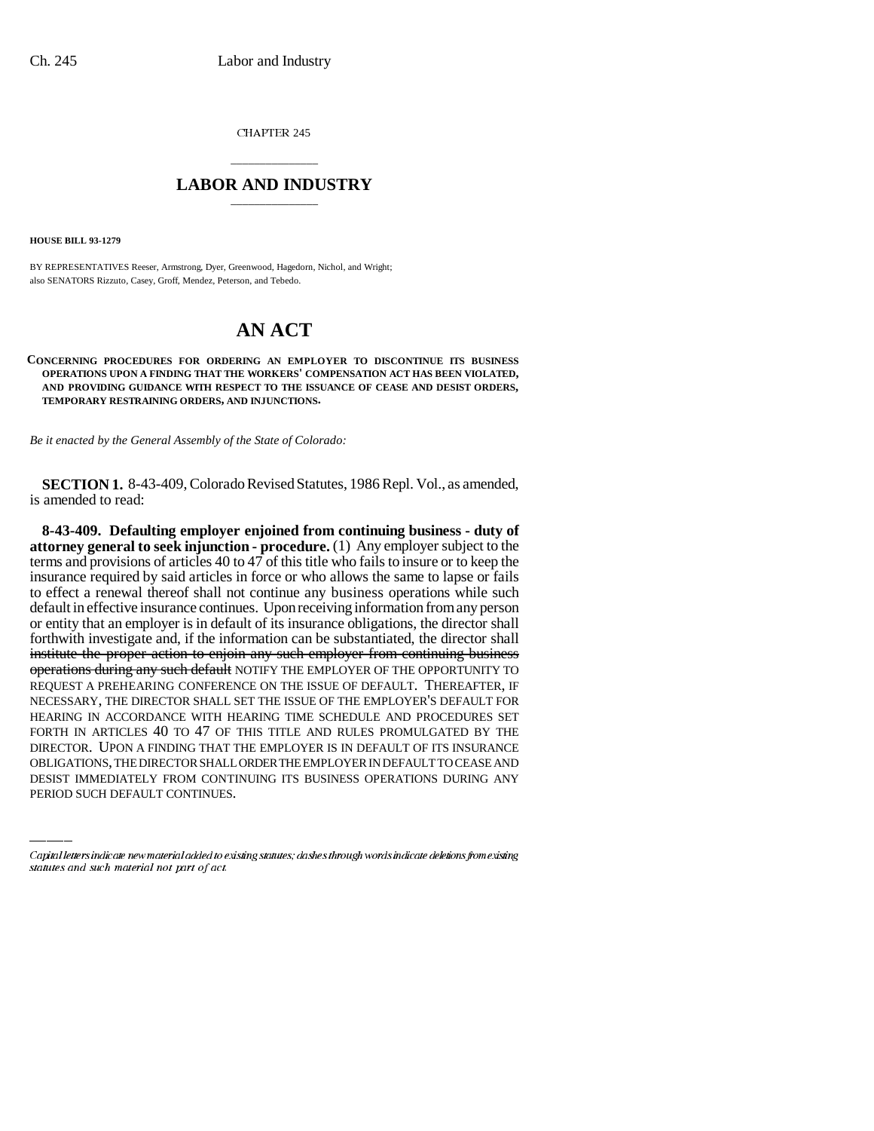CHAPTER 245

## \_\_\_\_\_\_\_\_\_\_\_\_\_\_\_ **LABOR AND INDUSTRY** \_\_\_\_\_\_\_\_\_\_\_\_\_\_\_

**HOUSE BILL 93-1279**

BY REPRESENTATIVES Reeser, Armstrong, Dyer, Greenwood, Hagedorn, Nichol, and Wright; also SENATORS Rizzuto, Casey, Groff, Mendez, Peterson, and Tebedo.

## **AN ACT**

**CONCERNING PROCEDURES FOR ORDERING AN EMPLOYER TO DISCONTINUE ITS BUSINESS OPERATIONS UPON A FINDING THAT THE WORKERS' COMPENSATION ACT HAS BEEN VIOLATED, AND PROVIDING GUIDANCE WITH RESPECT TO THE ISSUANCE OF CEASE AND DESIST ORDERS, TEMPORARY RESTRAINING ORDERS, AND INJUNCTIONS.**

*Be it enacted by the General Assembly of the State of Colorado:*

**SECTION 1.** 8-43-409, Colorado Revised Statutes, 1986 Repl. Vol., as amended, is amended to read:

FORTH IN ARTICLES 40 TO 47 OF THIS TITLE AND RULES PROMULGATED BY THE **8-43-409. Defaulting employer enjoined from continuing business - duty of attorney general to seek injunction - procedure.** (1) Any employer subject to the terms and provisions of articles 40 to 47 of this title who fails to insure or to keep the insurance required by said articles in force or who allows the same to lapse or fails to effect a renewal thereof shall not continue any business operations while such default in effective insurance continues. Upon receiving information from any person or entity that an employer is in default of its insurance obligations, the director shall forthwith investigate and, if the information can be substantiated, the director shall institute the proper action to enjoin any such employer from continuing business operations during any such default NOTIFY THE EMPLOYER OF THE OPPORTUNITY TO REQUEST A PREHEARING CONFERENCE ON THE ISSUE OF DEFAULT. THEREAFTER, IF NECESSARY, THE DIRECTOR SHALL SET THE ISSUE OF THE EMPLOYER'S DEFAULT FOR HEARING IN ACCORDANCE WITH HEARING TIME SCHEDULE AND PROCEDURES SET DIRECTOR. UPON A FINDING THAT THE EMPLOYER IS IN DEFAULT OF ITS INSURANCE OBLIGATIONS, THE DIRECTOR SHALL ORDER THE EMPLOYER IN DEFAULT TO CEASE AND DESIST IMMEDIATELY FROM CONTINUING ITS BUSINESS OPERATIONS DURING ANY PERIOD SUCH DEFAULT CONTINUES.

Capital letters indicate new material added to existing statutes; dashes through words indicate deletions from existing statutes and such material not part of act.